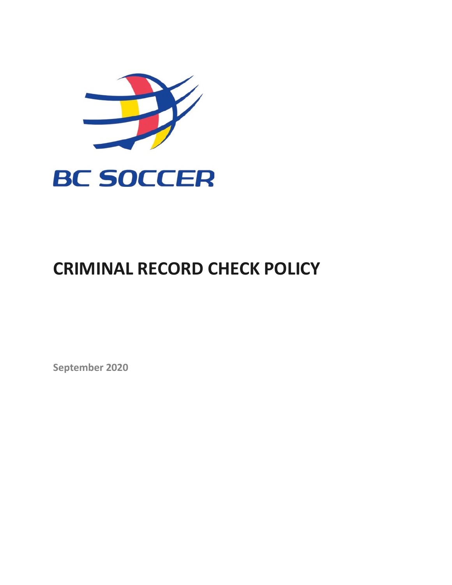

# **CRIMINAL RECORD CHECK POLICY**

**September 2020**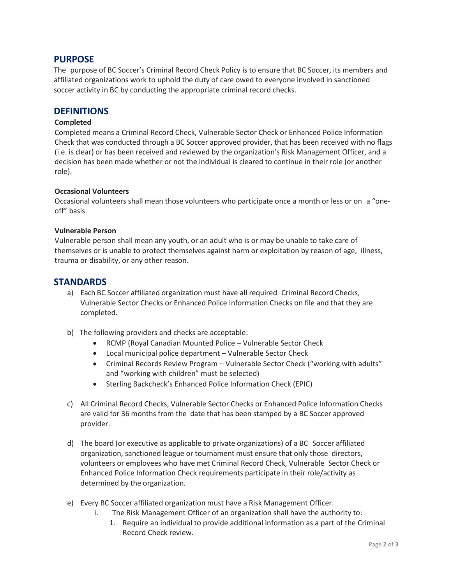# **PURPOSE**

The purpose of BC Soccer's Criminal Record Check Policy is to ensure that BC Soccer, its members and affiliated organizations work to uphold the duty of care owed to everyone involved in sanctioned soccer activity in BC by conducting the appropriate criminal record checks.

## **DEFINITIONS**

#### **Completed**

Completed means a Criminal Record Check, Vulnerable Sector Check or Enhanced Police Information Check that was conducted through a BC Soccer approved provider, that has been received with no flags (i.e. is clear) or has been received and reviewed by the organization's Risk Management Officer, and a decision has been made whether or not the individual is cleared to continue in their role (or another role).

#### **Occasional Volunteers**

Occasional volunteers shall mean those volunteers who participate once a month or less or on a "oneoff" basis.

#### **Vulnerable Person**

Vulnerable person shall mean any youth, or an adult who is or may be unable to take care of themselves or is unable to protect themselves against harm or exploitation by reason of age, illness, trauma or disability, or any other reason.

# **STANDARDS**

- a) Each BC Soccer affiliated organization must have all required Criminal Record Checks, Vulnerable Sector Checks or Enhanced Police Information Checks on file and that they are completed.
- b) The following providers and checks are acceptable:
	- RCMP (Royal Canadian Mounted Police Vulnerable Sector Check
	- Local municipal police department Vulnerable Sector Check
	- Criminal Records Review Program Vulnerable Sector Check ("working with adults" and "working with children" must be selected)
	- Sterling Backcheck's Enhanced Police Information Check (EPIC)
- c) All Criminal Record Checks, Vulnerable Sector Checks or Enhanced Police Information Checks are valid for 36 months from the date that has been stamped by a BC Soccer approved provider.
- d) The board (or executive as applicable to private organizations) of a BC Soccer affiliated organization, sanctioned league or tournament must ensure that only those directors, volunteers or employees who have met Criminal Record Check, Vulnerable Sector Check or Enhanced Police Information Check requirements participate in their role/activity as determined by the organization.
- e) Every BC Soccer affiliated organization must have a Risk Management Officer.
	- i. The Risk Management Officer of an organization shall have the authority to:
		- 1. Require an individual to provide additional information as a part of the Criminal Record Check review.